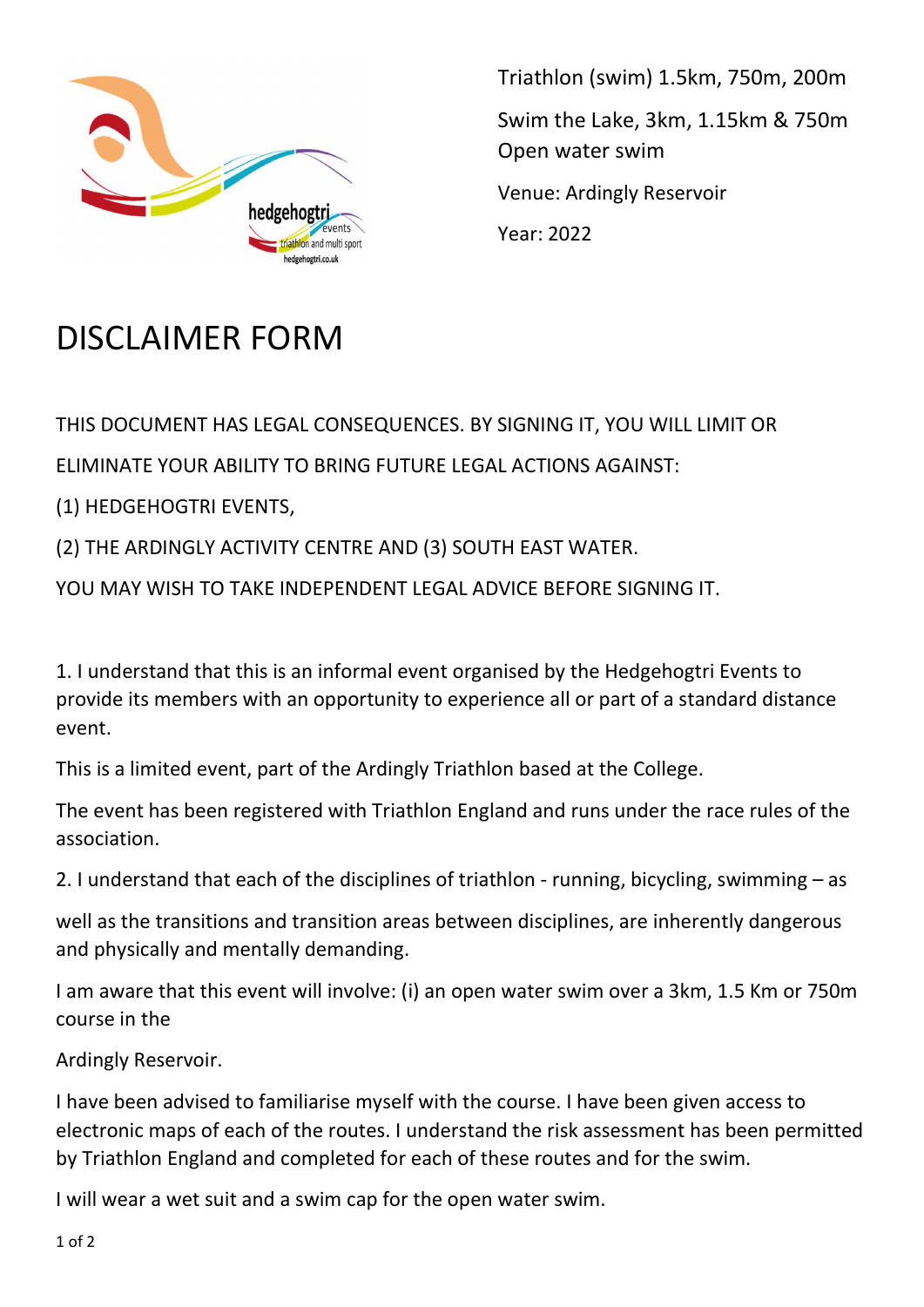

Triathlon (swim) 1.5km, 750m, 200m Swim the Lake, 3km, 1.15km & 750m Open water swim Venue: Ardingly Reservoir Year: 2022

## DISCLAIMER FORM

THIS DOCUMENT HAS LEGAL CONSEQUENCES. BY SIGNING IT, YOU WILL LIMIT OR

ELIMINATE YOUR ABILITY TO BRING FUTURE LEGAL ACTIONS AGAINST:

(1) HEDGEHOGTRI EVENTS,

(2) THE ARDINGLY ACTIVITY CENTRE AND (3) SOUTH EAST WATER.

YOU MAY WISH TO TAKE INDEPENDENT LEGAL ADVICE BEFORE SIGNING IT.

1. I understand that this is an informal event organised by the Hedgehogtri Events to provide its members with an opportunity to experience all or part of a standard distance event.

This is a limited event, part of the Ardingly Triathlon based at the College.

The event has been registered with Triathlon England and runs under the race rules of the association.

2. I understand that each of the disciplines of triathlon - running, bicycling, swimming – as

well as the transitions and transition areas between disciplines, are inherently dangerous and physically and mentally demanding.

I am aware that this event will involve: (i) an open water swim over a 3km, 1.5 Km or 750m course in the

Ardingly Reservoir.

I have been advised to familiarise myself with the course. I have been given access to electronic maps of each of the routes. I understand the risk assessment has been permitted by Triathlon England and completed for each of these routes and for the swim.

I will wear a wet suit and a swim cap for the open water swim.